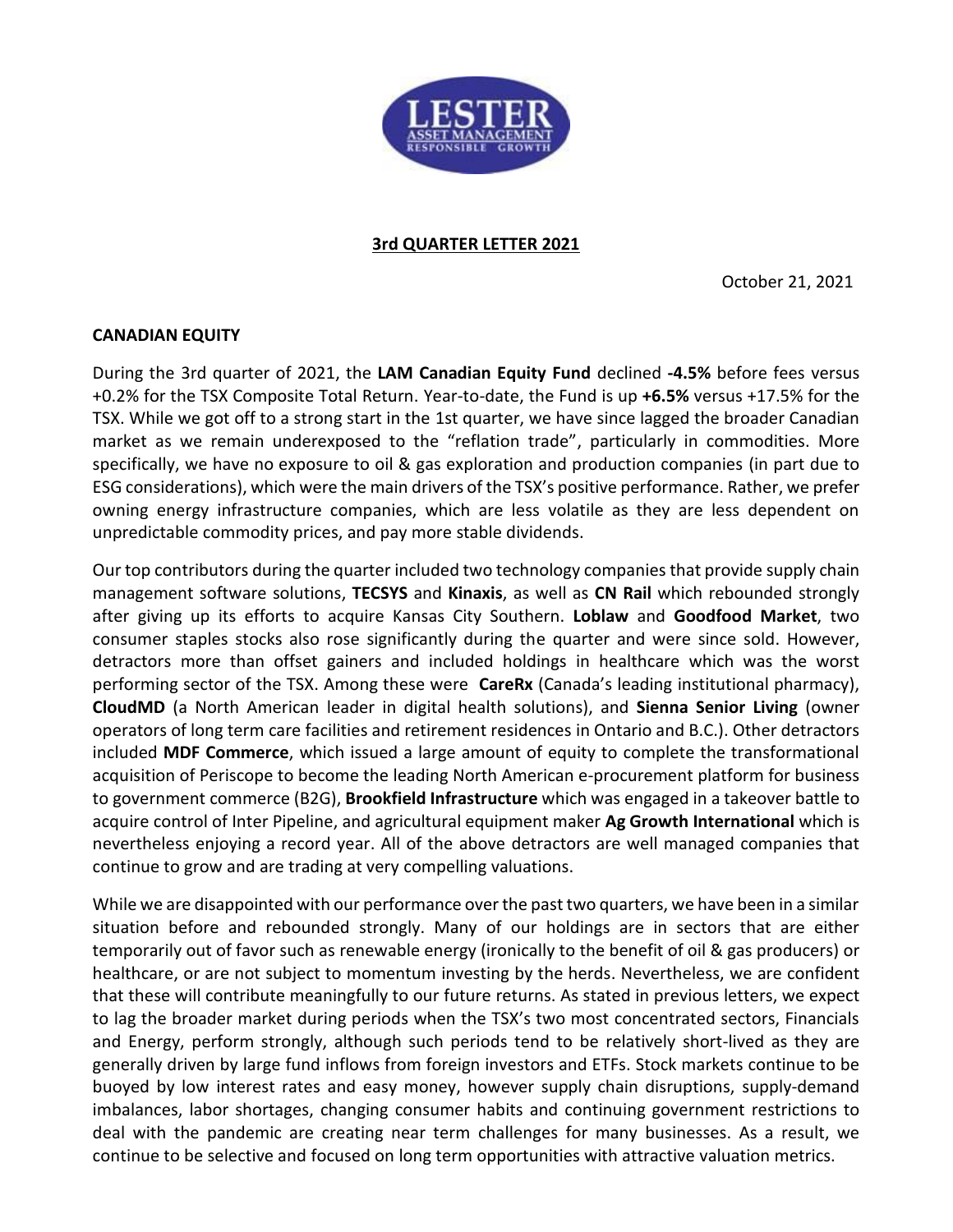

## **3rd QUARTER LETTER 2021**

October 21, 2021

## **CANADIAN EQUITY**

During the 3rd quarter of 2021, the **LAM Canadian Equity Fund** declined **-4.5%** before fees versus +0.2% for the TSX Composite Total Return. Year-to-date, the Fund is up **+6.5%** versus +17.5% for the TSX. While we got off to a strong start in the 1st quarter, we have since lagged the broader Canadian market as we remain underexposed to the "reflation trade", particularly in commodities. More specifically, we have no exposure to oil & gas exploration and production companies (in part due to ESG considerations), which were the main drivers of the TSX's positive performance. Rather, we prefer owning energy infrastructure companies, which are less volatile as they are less dependent on unpredictable commodity prices, and pay more stable dividends.

Our top contributors during the quarter included two technology companies that provide supply chain management software solutions, **TECSYS** and **Kinaxis**, as well as **CN Rail** which rebounded strongly after giving up its efforts to acquire Kansas City Southern. **Loblaw** and **Goodfood Market**, two consumer staples stocks also rose significantly during the quarter and were since sold. However, detractors more than offset gainers and included holdings in healthcare which was the worst performing sector of the TSX. Among these were **CareRx** (Canada's leading institutional pharmacy), **CloudMD** (a North American leader in digital health solutions), and **Sienna Senior Living** (owner operators of long term care facilities and retirement residences in Ontario and B.C.). Other detractors included **MDF Commerce**, which issued a large amount of equity to complete the transformational acquisition of Periscope to become the leading North American e-procurement platform for business to government commerce (B2G), **Brookfield Infrastructure** which was engaged in a takeover battle to acquire control of Inter Pipeline, and agricultural equipment maker **Ag Growth International** which is nevertheless enjoying a record year. All of the above detractors are well managed companies that continue to grow and are trading at very compelling valuations.

While we are disappointed with our performance over the past two quarters, we have been in a similar situation before and rebounded strongly. Many of our holdings are in sectors that are either temporarily out of favor such as renewable energy (ironically to the benefit of oil & gas producers) or healthcare, or are not subject to momentum investing by the herds. Nevertheless, we are confident that these will contribute meaningfully to our future returns. As stated in previous letters, we expect to lag the broader market during periods when the TSX's two most concentrated sectors, Financials and Energy, perform strongly, although such periods tend to be relatively short-lived as they are generally driven by large fund inflows from foreign investors and ETFs. Stock markets continue to be buoyed by low interest rates and easy money, however supply chain disruptions, supply-demand imbalances, labor shortages, changing consumer habits and continuing government restrictions to deal with the pandemic are creating near term challenges for many businesses. As a result, we continue to be selective and focused on long term opportunities with attractive valuation metrics.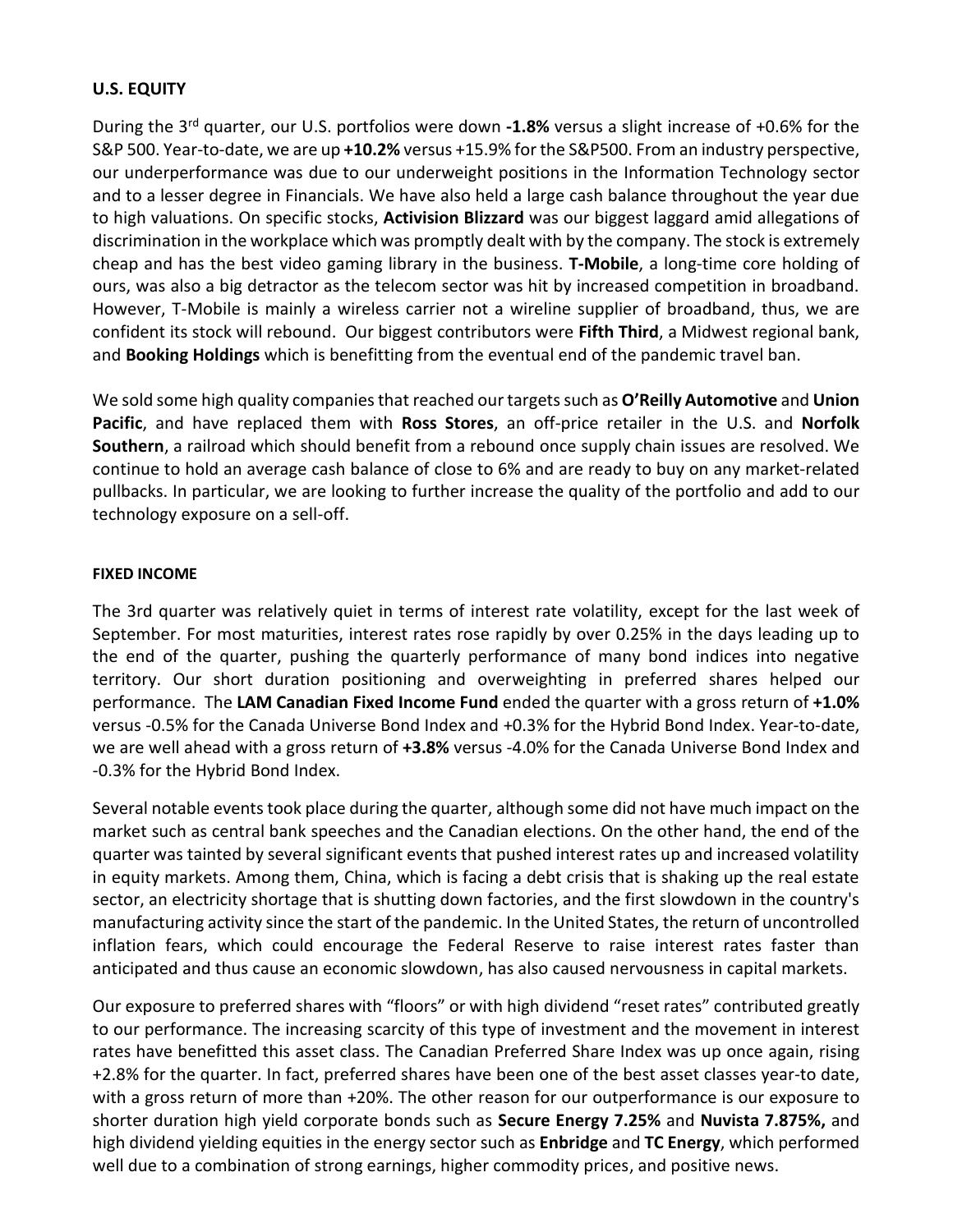# **U.S. EQUITY**

During the 3rd quarter, our U.S. portfolios were down **-1.8%** versus a slight increase of +0.6% for the S&P 500. Year-to-date, we are up **+10.2%** versus +15.9% for the S&P500. From an industry perspective, our underperformance was due to our underweight positions in the Information Technology sector and to a lesser degree in Financials. We have also held a large cash balance throughout the year due to high valuations. On specific stocks, **Activision Blizzard** was our biggest laggard amid allegations of discrimination in the workplace which was promptly dealt with by the company. The stock is extremely cheap and has the best video gaming library in the business. **T-Mobile**, a long-time core holding of ours, was also a big detractor as the telecom sector was hit by increased competition in broadband. However, T-Mobile is mainly a wireless carrier not a wireline supplier of broadband, thus, we are confident its stock will rebound. Our biggest contributors were **Fifth Third**, a Midwest regional bank, and **Booking Holdings** which is benefitting from the eventual end of the pandemic travel ban.

We sold some high quality companies that reached our targets such as **O'Reilly Automotive** and **Union Pacific**, and have replaced them with **Ross Stores**, an off-price retailer in the U.S. and **Norfolk Southern**, a railroad which should benefit from a rebound once supply chain issues are resolved. We continue to hold an average cash balance of close to 6% and are ready to buy on any market-related pullbacks. In particular, we are looking to further increase the quality of the portfolio and add to our technology exposure on a sell-off.

## **FIXED INCOME**

The 3rd quarter was relatively quiet in terms of interest rate volatility, except for the last week of September. For most maturities, interest rates rose rapidly by over 0.25% in the days leading up to the end of the quarter, pushing the quarterly performance of many bond indices into negative territory. Our short duration positioning and overweighting in preferred shares helped our performance. The **LAM Canadian Fixed Income Fund** ended the quarter with a gross return of **+1.0%** versus -0.5% for the Canada Universe Bond Index and +0.3% for the Hybrid Bond Index. Year-to-date, we are well ahead with a gross return of **+3.8%** versus -4.0% for the Canada Universe Bond Index and -0.3% for the Hybrid Bond Index.

Several notable events took place during the quarter, although some did not have much impact on the market such as central bank speeches and the Canadian elections. On the other hand, the end of the quarter was tainted by several significant events that pushed interest rates up and increased volatility in equity markets. Among them, China, which is facing a debt crisis that is shaking up the real estate sector, an electricity shortage that is shutting down factories, and the first slowdown in the country's manufacturing activity since the start of the pandemic. In the United States, the return of uncontrolled inflation fears, which could encourage the Federal Reserve to raise interest rates faster than anticipated and thus cause an economic slowdown, has also caused nervousness in capital markets.

Our exposure to preferred shares with "floors" or with high dividend "reset rates" contributed greatly to our performance. The increasing scarcity of this type of investment and the movement in interest rates have benefitted this asset class. The Canadian Preferred Share Index was up once again, rising +2.8% for the quarter. In fact, preferred shares have been one of the best asset classes year-to date, with a gross return of more than +20%. The other reason for our outperformance is our exposure to shorter duration high yield corporate bonds such as **Secure Energy 7.25%** and **Nuvista 7.875%,** and high dividend yielding equities in the energy sector such as **Enbridge** and **TC Energy**, which performed well due to a combination of strong earnings, higher commodity prices, and positive news.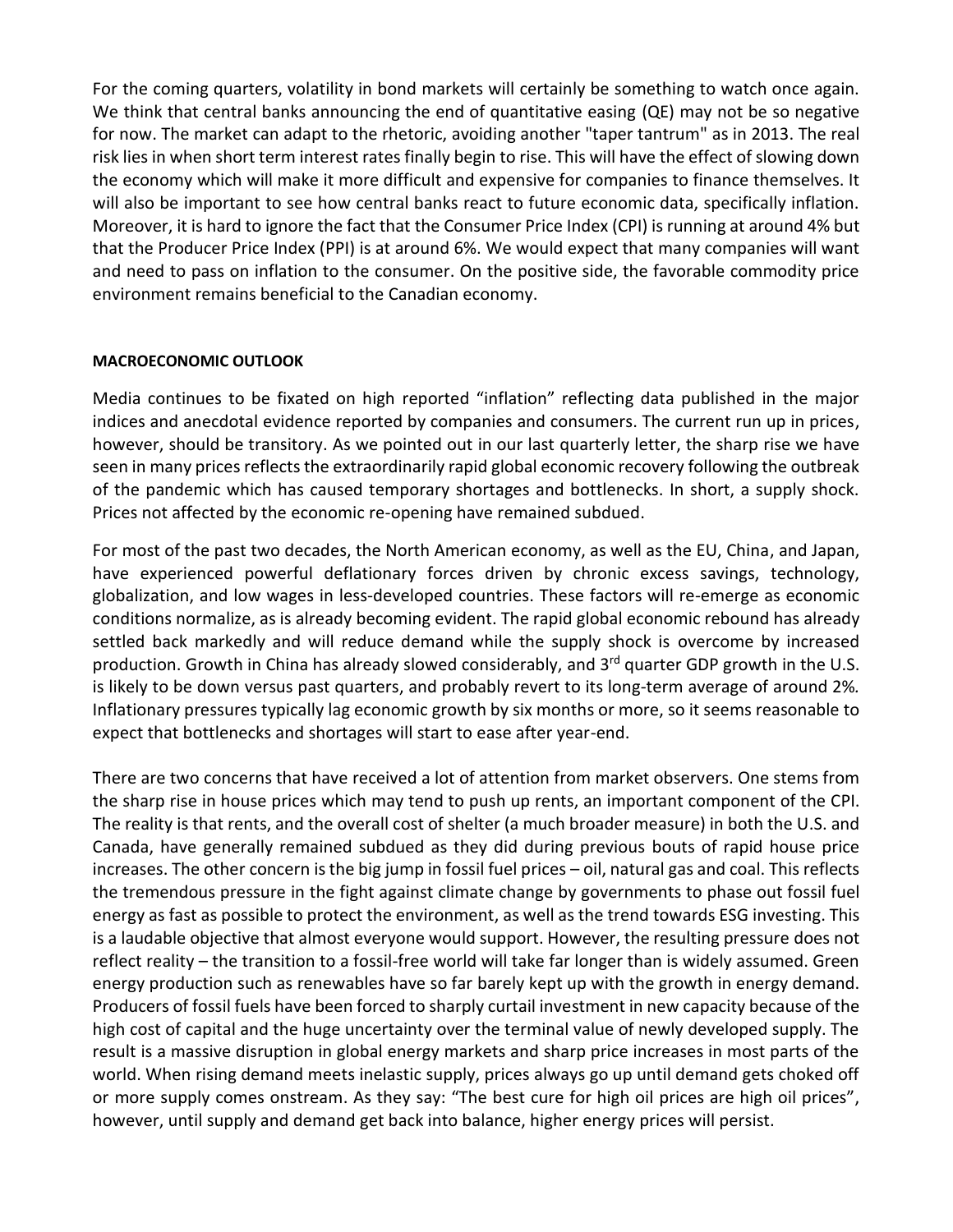For the coming quarters, volatility in bond markets will certainly be something to watch once again. We think that central banks announcing the end of quantitative easing (QE) may not be so negative for now. The market can adapt to the rhetoric, avoiding another "taper tantrum" as in 2013. The real risk lies in when short term interest rates finally begin to rise. This will have the effect of slowing down the economy which will make it more difficult and expensive for companies to finance themselves. It will also be important to see how central banks react to future economic data, specifically inflation. Moreover, it is hard to ignore the fact that the Consumer Price Index (CPI) is running at around 4% but that the Producer Price Index (PPI) is at around 6%. We would expect that many companies will want and need to pass on inflation to the consumer. On the positive side, the favorable commodity price environment remains beneficial to the Canadian economy.

#### **MACROECONOMIC OUTLOOK**

Media continues to be fixated on high reported "inflation" reflecting data published in the major indices and anecdotal evidence reported by companies and consumers. The current run up in prices, however, should be transitory. As we pointed out in our last quarterly letter, the sharp rise we have seen in many prices reflects the extraordinarily rapid global economic recovery following the outbreak of the pandemic which has caused temporary shortages and bottlenecks. In short, a supply shock. Prices not affected by the economic re-opening have remained subdued.

For most of the past two decades, the North American economy, as well as the EU, China, and Japan, have experienced powerful deflationary forces driven by chronic excess savings, technology, globalization, and low wages in less-developed countries. These factors will re-emerge as economic conditions normalize, as is already becoming evident. The rapid global economic rebound has already settled back markedly and will reduce demand while the supply shock is overcome by increased production. Growth in China has already slowed considerably, and 3<sup>rd</sup> quarter GDP growth in the U.S. is likely to be down versus past quarters, and probably revert to its long-term average of around 2%*.* Inflationary pressures typically lag economic growth by six months or more, so it seems reasonable to expect that bottlenecks and shortages will start to ease after year-end.

There are two concerns that have received a lot of attention from market observers. One stems from the sharp rise in house prices which may tend to push up rents, an important component of the CPI. The reality is that rents, and the overall cost of shelter (a much broader measure) in both the U.S. and Canada, have generally remained subdued as they did during previous bouts of rapid house price increases. The other concern is the big jump in fossil fuel prices – oil, natural gas and coal. This reflects the tremendous pressure in the fight against climate change by governments to phase out fossil fuel energy as fast as possible to protect the environment, as well as the trend towards ESG investing. This is a laudable objective that almost everyone would support. However, the resulting pressure does not reflect reality – the transition to a fossil-free world will take far longer than is widely assumed. Green energy production such as renewables have so far barely kept up with the growth in energy demand. Producers of fossil fuels have been forced to sharply curtail investment in new capacity because of the high cost of capital and the huge uncertainty over the terminal value of newly developed supply. The result is a massive disruption in global energy markets and sharp price increases in most parts of the world. When rising demand meets inelastic supply, prices always go up until demand gets choked off or more supply comes onstream. As they say: "The best cure for high oil prices are high oil prices", however, until supply and demand get back into balance, higher energy prices will persist.